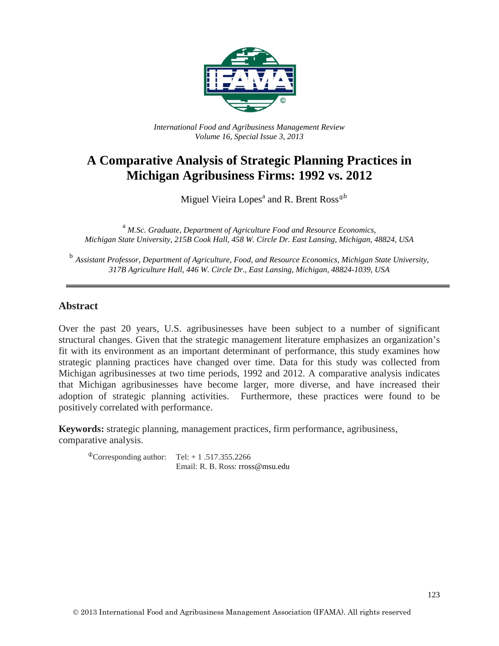

*International Food and Agribusiness Management Review Volume 16, Special Issue 3, 2013*

# **A Comparative Analysis of Strategic Planning Practices in Michigan Agribusiness Firms: 1992 vs. 2012**

Miguel Vieira Lopes<sup>a</sup> and R. Brent Ross<sup> $\Phi$ b</sup>

<sup>a</sup> *M.Sc. Graduate, Department of Agriculture Food and Resource Economics, Michigan State University, 215B Cook Hall, 458 W. Circle Dr. East Lansing, Michigan, 48824, USA*

<sup>b</sup> *Assistant Professor, Department of Agriculture, Food, and Resource Economics, Michigan State University, 317B Agriculture Hall, 446 W. Circle Dr., East Lansing, Michigan, 48824-1039, USA*

#### **Abstract**

Over the past 20 years, U.S. agribusinesses have been subject to a number of significant structural changes. Given that the strategic management literature emphasizes an organization's fit with its environment as an important determinant of performance, this study examines how strategic planning practices have changed over time. Data for this study was collected from Michigan agribusinesses at two time periods, 1992 and 2012. A comparative analysis indicates that Michigan agribusinesses have become larger, more diverse, and have increased their adoption of strategic planning activities. Furthermore, these practices were found to be positively correlated with performance.

**Keywords:** strategic planning, management practices, firm performance, agribusiness, comparative analysis.

 $^{\circ}$ Corresponding author: Tel: + 1 .517.355.2266 Email: R. B. Ross: rross@msu.edu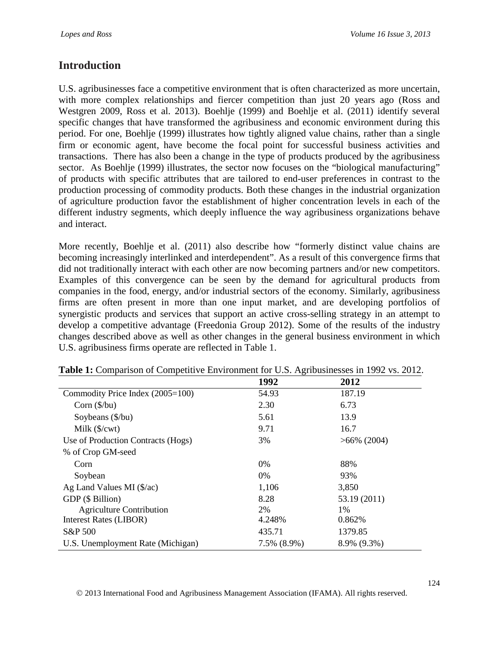# **Introduction**

U.S. agribusinesses face a competitive environment that is often characterized as more uncertain, with more complex relationships and fiercer competition than just 20 years ago (Ross and Westgren 2009, Ross et al. 2013). Boehlje (1999) and Boehlje et al. (2011) identify several specific changes that have transformed the agribusiness and economic environment during this period. For one, Boehlje (1999) illustrates how tightly aligned value chains, rather than a single firm or economic agent, have become the focal point for successful business activities and transactions. There has also been a change in the type of products produced by the agribusiness sector. As Boehlje (1999) illustrates, the sector now focuses on the "biological manufacturing" of products with specific attributes that are tailored to end-user preferences in contrast to the production processing of commodity products. Both these changes in the industrial organization of agriculture production favor the establishment of higher concentration levels in each of the different industry segments, which deeply influence the way agribusiness organizations behave and interact.

More recently, Boehlje et al. (2011) also describe how "formerly distinct value chains are becoming increasingly interlinked and interdependent". As a result of this convergence firms that did not traditionally interact with each other are now becoming partners and/or new competitors. Examples of this convergence can be seen by the demand for agricultural products from companies in the food, energy, and/or industrial sectors of the economy. Similarly, agribusiness firms are often present in more than one input market, and are developing portfolios of synergistic products and services that support an active cross-selling strategy in an attempt to develop a competitive advantage (Freedonia Group 2012). Some of the results of the industry changes described above as well as other changes in the general business environment in which U.S. agribusiness firms operate are reflected in Table 1.

|                                    | 1992        | 2012           |
|------------------------------------|-------------|----------------|
| Commodity Price Index (2005=100)   | 54.93       | 187.19         |
| Corn $(\frac{5}{bu})$              | 2.30        | 6.73           |
| Soybeans $(\frac{6}{bu})$          | 5.61        | 13.9           |
| Milk $(\frac{C}{x})$               | 9.71        | 16.7           |
| Use of Production Contracts (Hogs) | 3%          | $>66\%$ (2004) |
| % of Crop GM-seed                  |             |                |
| Corn                               | 0%          | 88%            |
| Soybean                            | $0\%$       | 93%            |
| Ag Land Values MI $(\frac{5}{ac})$ | 1,106       | 3,850          |
| GDP (\$ Billion)                   | 8.28        | 53.19 (2011)   |
| <b>Agriculture Contribution</b>    | 2%          | $1\%$          |
| <b>Interest Rates (LIBOR)</b>      | 4.248%      | 0.862%         |
| S&P 500                            | 435.71      | 1379.85        |
| U.S. Unemployment Rate (Michigan)  | 7.5% (8.9%) | 8.9% (9.3%)    |

**Table 1:** Comparison of Competitive Environment for U.S. Agribusinesses in 1992 vs. 2012.

2013 International Food and Agribusiness Management Association (IFAMA). All rights reserved.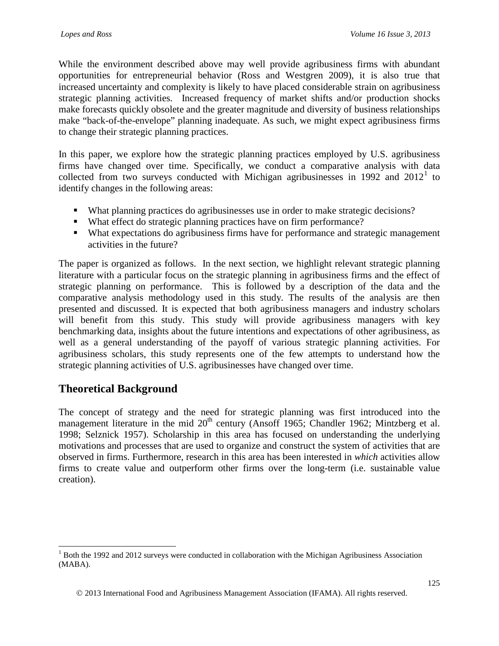While the environment described above may well provide agribusiness firms with abundant opportunities for entrepreneurial behavior (Ross and Westgren 2009), it is also true that increased uncertainty and complexity is likely to have placed considerable strain on agribusiness strategic planning activities. Increased frequency of market shifts and/or production shocks make forecasts quickly obsolete and the greater magnitude and diversity of business relationships make "back-of-the-envelope" planning inadequate. As such, we might expect agribusiness firms to change their strategic planning practices.

In this paper, we explore how the strategic planning practices employed by U.S. agribusiness firms have changed over time. Specifically, we conduct a comparative analysis with data collected from two surveys conducted with Michigan agribusinesses in [1](#page-2-0)992 and  $2012<sup>1</sup>$  to identify changes in the following areas:

- What planning practices do agribusinesses use in order to make strategic decisions?
- What effect do strategic planning practices have on firm performance?
- What expectations do agribusiness firms have for performance and strategic management activities in the future?

The paper is organized as follows. In the next section, we highlight relevant strategic planning literature with a particular focus on the strategic planning in agribusiness firms and the effect of strategic planning on performance. This is followed by a description of the data and the comparative analysis methodology used in this study. The results of the analysis are then presented and discussed. It is expected that both agribusiness managers and industry scholars will benefit from this study. This study will provide agribusiness managers with key benchmarking data, insights about the future intentions and expectations of other agribusiness, as well as a general understanding of the payoff of various strategic planning activities. For agribusiness scholars, this study represents one of the few attempts to understand how the strategic planning activities of U.S. agribusinesses have changed over time.

# **Theoretical Background**

The concept of strategy and the need for strategic planning was first introduced into the management literature in the mid  $20<sup>th</sup>$  century (Ansoff 1965; Chandler 1962; Mintzberg et al. 1998; Selznick 1957). Scholarship in this area has focused on understanding the underlying motivations and processes that are used to organize and construct the system of activities that are observed in firms. Furthermore, research in this area has been interested in *which* activities allow firms to create value and outperform other firms over the long-term (i.e. sustainable value creation).

<span id="page-2-0"></span> $<sup>1</sup>$  Both the 1992 and 2012 surveys were conducted in collaboration with the Michigan Agribusiness Association</sup> (MABA).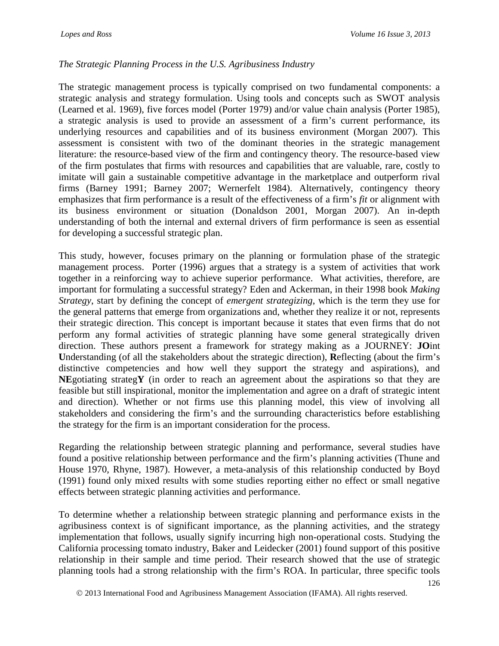### *The Strategic Planning Process in the U.S. Agribusiness Industry*

The strategic management process is typically comprised on two fundamental components: a strategic analysis and strategy formulation. Using tools and concepts such as SWOT analysis (Learned et al. 1969), five forces model (Porter 1979) and/or value chain analysis (Porter 1985), a strategic analysis is used to provide an assessment of a firm's current performance, its underlying resources and capabilities and of its business environment (Morgan 2007). This assessment is consistent with two of the dominant theories in the strategic management literature: the resource-based view of the firm and contingency theory. The resource-based view of the firm postulates that firms with resources and capabilities that are valuable, rare, costly to imitate will gain a sustainable competitive advantage in the marketplace and outperform rival firms (Barney 1991; Barney 2007; Wernerfelt 1984). Alternatively, contingency theory emphasizes that firm performance is a result of the effectiveness of a firm's *fit* or alignment with its business environment or situation (Donaldson 2001, Morgan 2007). An in-depth understanding of both the internal and external drivers of firm performance is seen as essential for developing a successful strategic plan.

This study, however, focuses primary on the planning or formulation phase of the strategic management process. Porter (1996) argues that a strategy is a system of activities that work together in a reinforcing way to achieve superior performance. What activities, therefore, are important for formulating a successful strategy? Eden and Ackerman, in their 1998 book *Making Strategy*, start by defining the concept of *emergent strategizing*, which is the term they use for the general patterns that emerge from organizations and, whether they realize it or not, represents their strategic direction. This concept is important because it states that even firms that do not perform any formal activities of strategic planning have some general strategically driven direction. These authors present a framework for strategy making as a JOURNEY: **JO**int **U**nderstanding (of all the stakeholders about the strategic direction), **R**eflecting (about the firm's distinctive competencies and how well they support the strategy and aspirations), and **NE**gotiating strateg**Y** (in order to reach an agreement about the aspirations so that they are feasible but still inspirational, monitor the implementation and agree on a draft of strategic intent and direction). Whether or not firms use this planning model, this view of involving all stakeholders and considering the firm's and the surrounding characteristics before establishing the strategy for the firm is an important consideration for the process.

Regarding the relationship between strategic planning and performance, several studies have found a positive relationship between performance and the firm's planning activities (Thune and House 1970, Rhyne, 1987). However, a meta-analysis of this relationship conducted by Boyd (1991) found only mixed results with some studies reporting either no effect or small negative effects between strategic planning activities and performance.

To determine whether a relationship between strategic planning and performance exists in the agribusiness context is of significant importance, as the planning activities, and the strategy implementation that follows, usually signify incurring high non-operational costs. Studying the California processing tomato industry, Baker and Leidecker (2001) found support of this positive relationship in their sample and time period. Their research showed that the use of strategic planning tools had a strong relationship with the firm's ROA. In particular, three specific tools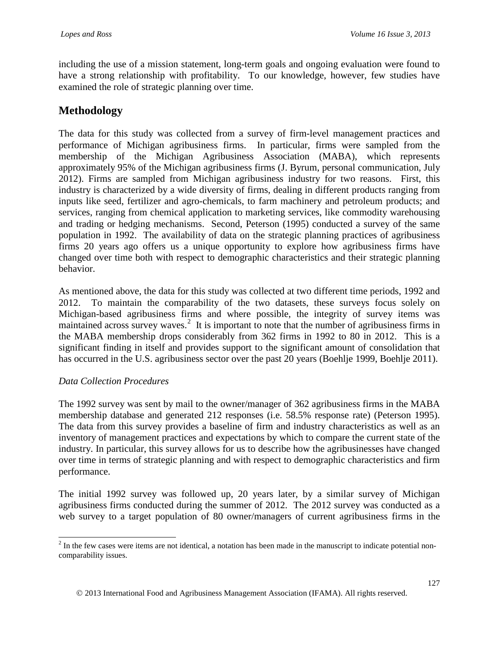including the use of a mission statement, long-term goals and ongoing evaluation were found to have a strong relationship with profitability. To our knowledge, however, few studies have examined the role of strategic planning over time.

# **Methodology**

The data for this study was collected from a survey of firm-level management practices and performance of Michigan agribusiness firms. In particular, firms were sampled from the membership of the Michigan Agribusiness Association (MABA), which represents approximately 95% of the Michigan agribusiness firms (J. Byrum, personal communication, July 2012). Firms are sampled from Michigan agribusiness industry for two reasons. First, this industry is characterized by a wide diversity of firms, dealing in different products ranging from inputs like seed, fertilizer and agro-chemicals, to farm machinery and petroleum products; and services, ranging from chemical application to marketing services, like commodity warehousing and trading or hedging mechanisms. Second, Peterson (1995) conducted a survey of the same population in 1992. The availability of data on the strategic planning practices of agribusiness firms 20 years ago offers us a unique opportunity to explore how agribusiness firms have changed over time both with respect to demographic characteristics and their strategic planning behavior.

As mentioned above, the data for this study was collected at two different time periods, 1992 and 2012. To maintain the comparability of the two datasets, these surveys focus solely on Michigan-based agribusiness firms and where possible, the integrity of survey items was maintained across survey waves.<sup>[2](#page-4-0)</sup> It is important to note that the number of agribusiness firms in the MABA membership drops considerably from 362 firms in 1992 to 80 in 2012. This is a significant finding in itself and provides support to the significant amount of consolidation that has occurred in the U.S. agribusiness sector over the past 20 years (Boehlje 1999, Boehlje 2011).

#### *Data Collection Procedures*

The 1992 survey was sent by mail to the owner/manager of 362 agribusiness firms in the MABA membership database and generated 212 responses (i.e. 58.5% response rate) (Peterson 1995). The data from this survey provides a baseline of firm and industry characteristics as well as an inventory of management practices and expectations by which to compare the current state of the industry. In particular, this survey allows for us to describe how the agribusinesses have changed over time in terms of strategic planning and with respect to demographic characteristics and firm performance.

The initial 1992 survey was followed up, 20 years later, by a similar survey of Michigan agribusiness firms conducted during the summer of 2012. The 2012 survey was conducted as a web survey to a target population of 80 owner/managers of current agribusiness firms in the

<span id="page-4-0"></span> $2$  In the few cases were items are not identical, a notation has been made in the manuscript to indicate potential noncomparability issues.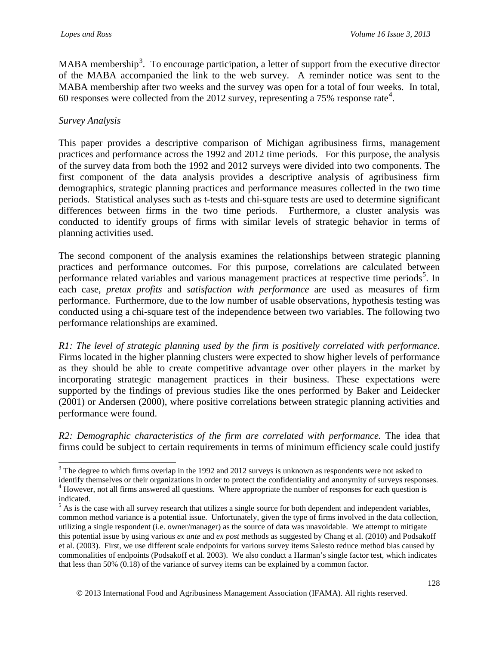MABA membership<sup>[3](#page-5-0)</sup>. To encourage participation, a letter of support from the executive director of the MABA accompanied the link to the web survey. A reminder notice was sent to the MABA membership after two weeks and the survey was open for a total of four weeks. In total, 60 responses were collected from the 2012 survey, representing a 75% response rate<sup>[4](#page-5-1)</sup>.

#### *Survey Analysis*

This paper provides a descriptive comparison of Michigan agribusiness firms, management practices and performance across the 1992 and 2012 time periods. For this purpose, the analysis of the survey data from both the 1992 and 2012 surveys were divided into two components. The first component of the data analysis provides a descriptive analysis of agribusiness firm demographics, strategic planning practices and performance measures collected in the two time periods. Statistical analyses such as t-tests and chi-square tests are used to determine significant differences between firms in the two time periods. Furthermore, a cluster analysis was conducted to identify groups of firms with similar levels of strategic behavior in terms of planning activities used.

The second component of the analysis examines the relationships between strategic planning practices and performance outcomes. For this purpose, correlations are calculated between performance related variables and various management practices at respective time periods<sup>[5](#page-5-2)</sup>. In each case, *pretax profits* and *satisfaction with performance* are used as measures of firm performance. Furthermore, due to the low number of usable observations, hypothesis testing was conducted using a chi-square test of the independence between two variables. The following two performance relationships are examined.

*R1: The level of strategic planning used by the firm is positively correlated with performance*. Firms located in the higher planning clusters were expected to show higher levels of performance as they should be able to create competitive advantage over other players in the market by incorporating strategic management practices in their business. These expectations were supported by the findings of previous studies like the ones performed by Baker and Leidecker (2001) or Andersen (2000), where positive correlations between strategic planning activities and performance were found.

*R2: Demographic characteristics of the firm are correlated with performance.* The idea that firms could be subject to certain requirements in terms of minimum efficiency scale could justify

<span id="page-5-0"></span><sup>&</sup>lt;sup>3</sup> The degree to which firms overlap in the 1992 and 2012 surveys is unknown as respondents were not asked to

<span id="page-5-1"></span>identify themselves or their organizations in order to protect the confidentiality and anonymity of surveys responses.<br><sup>4</sup> However, not all firms answered all questions. Where appropriate the number of responses for each q indicated.

<span id="page-5-2"></span> $<sup>5</sup>$  As is the case with all survey research that utilizes a single source for both dependent and independent variables,</sup> common method variance is a potential issue. Unfortunately, given the type of firms involved in the data collection, utilizing a single respondent (i.e. owner/manager) as the source of data was unavoidable. We attempt to mitigate this potential issue by using various *ex ante* and *ex post* methods as suggested by Chang et al. (2010) and Podsakoff et al. (2003). First, we use different scale endpoints for various survey items Salesto reduce method bias caused by commonalities of endpoints (Podsakoff et al. 2003). We also conduct a Harman's single factor test, which indicates that less than 50% (0.18) of the variance of survey items can be explained by a common factor.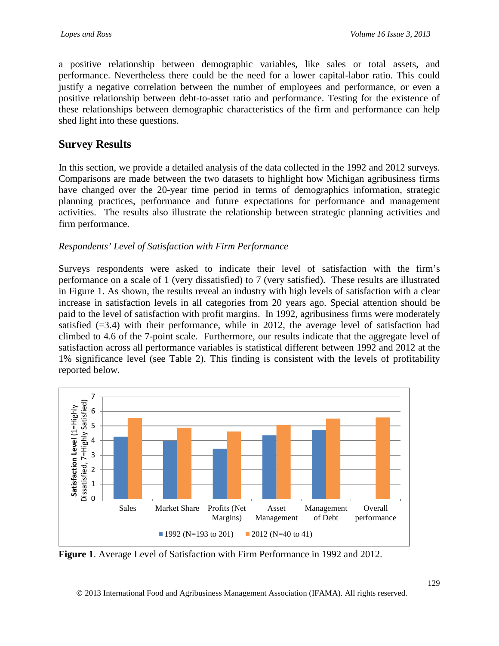a positive relationship between demographic variables, like sales or total assets, and performance. Nevertheless there could be the need for a lower capital-labor ratio. This could justify a negative correlation between the number of employees and performance, or even a positive relationship between debt-to-asset ratio and performance. Testing for the existence of these relationships between demographic characteristics of the firm and performance can help shed light into these questions.

# **Survey Results**

In this section, we provide a detailed analysis of the data collected in the 1992 and 2012 surveys. Comparisons are made between the two datasets to highlight how Michigan agribusiness firms have changed over the 20-year time period in terms of demographics information, strategic planning practices, performance and future expectations for performance and management activities. The results also illustrate the relationship between strategic planning activities and firm performance.

## *Respondents' Level of Satisfaction with Firm Performance*

Surveys respondents were asked to indicate their level of satisfaction with the firm's performance on a scale of 1 (very dissatisfied) to 7 (very satisfied). These results are illustrated in Figure 1. As shown, the results reveal an industry with high levels of satisfaction with a clear increase in satisfaction levels in all categories from 20 years ago. Special attention should be paid to the level of satisfaction with profit margins. In 1992, agribusiness firms were moderately satisfied  $(=3.4)$  with their performance, while in 2012, the average level of satisfaction had climbed to 4.6 of the 7-point scale. Furthermore, our results indicate that the aggregate level of satisfaction across all performance variables is statistical different between 1992 and 2012 at the 1% significance level (see Table 2). This finding is consistent with the levels of profitability reported below.



**Figure 1**. Average Level of Satisfaction with Firm Performance in 1992 and 2012.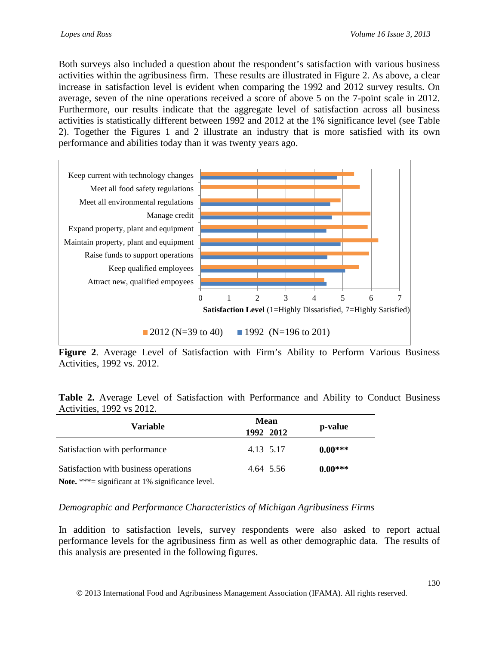Both surveys also included a question about the respondent's satisfaction with various business activities within the agribusiness firm. These results are illustrated in Figure 2. As above, a clear increase in satisfaction level is evident when comparing the 1992 and 2012 survey results. On average, seven of the nine operations received a score of above 5 on the 7-point scale in 2012. Furthermore, our results indicate that the aggregate level of satisfaction across all business activities is statistically different between 1992 and 2012 at the 1% significance level (see Table 2). Together the Figures 1 and 2 illustrate an industry that is more satisfied with its own performance and abilities today than it was twenty years ago.



**Figure 2**. Average Level of Satisfaction with Firm's Ability to Perform Various Business Activities, 1992 vs. 2012.

**Table 2.** Average Level of Satisfaction with Performance and Ability to Conduct Business Activities, 1992 vs 2012.

| <b>Variable</b>                                                                                                                                                                                                                                                                                             | <b>Mean</b><br>1992 2012 | p-value   |
|-------------------------------------------------------------------------------------------------------------------------------------------------------------------------------------------------------------------------------------------------------------------------------------------------------------|--------------------------|-----------|
| Satisfaction with performance                                                                                                                                                                                                                                                                               | 4.13 5.17                | $0.00***$ |
| Satisfaction with business operations                                                                                                                                                                                                                                                                       | 4.64 5.56                | $0.00***$ |
| $\mathbf{M}$ . $\mathbf{A}$ , $\mathbf{A}$ , $\mathbf{A}$ , $\mathbf{A}$ , $\mathbf{A}$ , $\mathbf{A}$ , $\mathbf{A}$ , $\mathbf{A}$ , $\mathbf{A}$ , $\mathbf{A}$ , $\mathbf{A}$ , $\mathbf{A}$ , $\mathbf{A}$ , $\mathbf{A}$ , $\mathbf{A}$ , $\mathbf{A}$ , $\mathbf{A}$ , $\mathbf{A}$ , $\mathbf{A}$ , |                          |           |

Note. \*\*\*= significant at 1% significance level.

#### *Demographic and Performance Characteristics of Michigan Agribusiness Firms*

In addition to satisfaction levels, survey respondents were also asked to report actual performance levels for the agribusiness firm as well as other demographic data. The results of this analysis are presented in the following figures.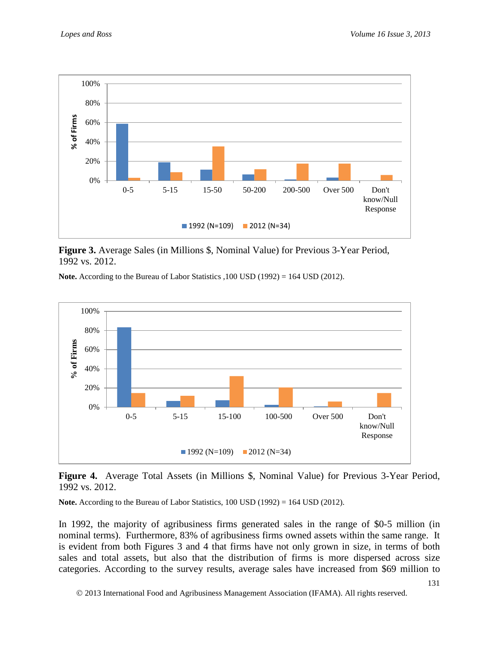

**Figure 3.** Average Sales (in Millions \$, Nominal Value) for Previous 3-Year Period, 1992 vs. 2012.

**Note.** According to the Bureau of Labor Statistics ,100 USD (1992) = 164 USD (2012).



**Figure 4.** Average Total Assets (in Millions \$, Nominal Value) for Previous 3-Year Period, 1992 vs. 2012.

**Note.** According to the Bureau of Labor Statistics, 100 USD (1992) = 164 USD (2012).

In 1992, the majority of agribusiness firms generated sales in the range of \$0-5 million (in nominal terms). Furthermore, 83% of agribusiness firms owned assets within the same range. It is evident from both Figures 3 and 4 that firms have not only grown in size, in terms of both sales and total assets, but also that the distribution of firms is more dispersed across size categories. According to the survey results, average sales have increased from \$69 million to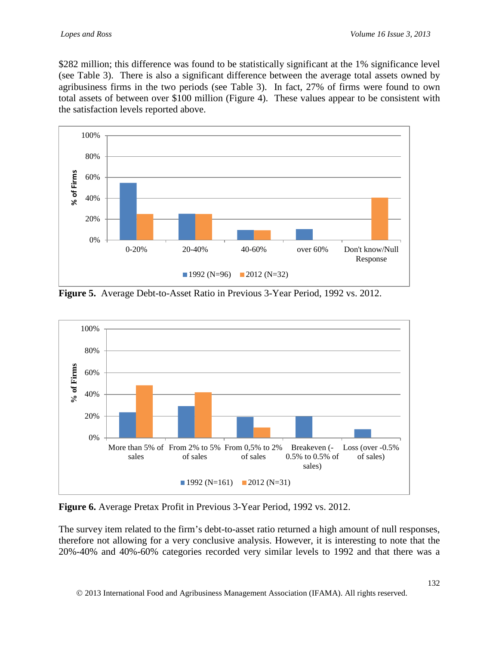\$282 million; this difference was found to be statistically significant at the 1% significance level (see Table 3). There is also a significant difference between the average total assets owned by agribusiness firms in the two periods (see Table 3). In fact, 27% of firms were found to own total assets of between over \$100 million (Figure 4). These values appear to be consistent with the satisfaction levels reported above.



**Figure 5.** Average Debt-to-Asset Ratio in Previous 3-Year Period, 1992 vs. 2012.



**Figure 6.** Average Pretax Profit in Previous 3-Year Period, 1992 vs. 2012.

The survey item related to the firm's debt-to-asset ratio returned a high amount of null responses, therefore not allowing for a very conclusive analysis. However, it is interesting to note that the 20%-40% and 40%-60% categories recorded very similar levels to 1992 and that there was a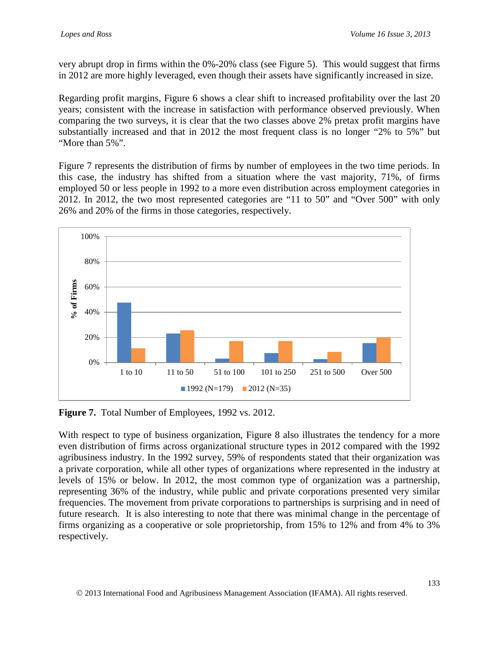very abrupt drop in firms within the 0%-20% class (see Figure 5). This would suggest that firms in 2012 are more highly leveraged, even though their assets have significantly increased in size.

Regarding profit margins, Figure 6 shows a clear shift to increased profitability over the last 20 years; consistent with the increase in satisfaction with performance observed previously. When comparing the two surveys, it is clear that the two classes above 2% pretax profit margins have substantially increased and that in 2012 the most frequent class is no longer "2% to 5%" but "More than 5%".

Figure 7 represents the distribution of firms by number of employees in the two time periods. In this case, the industry has shifted from a situation where the vast majority, 71%, of firms employed 50 or less people in 1992 to a more even distribution across employment categories in 2012. In 2012, the two most represented categories are "11 to 50" and "Over 500" with only 26% and 20% of the firms in those categories, respectively.



**Figure 7.** Total Number of Employees, 1992 vs. 2012.

With respect to type of business organization, Figure 8 also illustrates the tendency for a more even distribution of firms across organizational structure types in 2012 compared with the 1992 agribusiness industry. In the 1992 survey, 59% of respondents stated that their organization was a private corporation, while all other types of organizations where represented in the industry at levels of 15% or below. In 2012, the most common type of organization was a partnership, representing 36% of the industry, while public and private corporations presented very similar frequencies. The movement from private corporations to partnerships is surprising and in need of future research. It is also interesting to note that there was minimal change in the percentage of firms organizing as a cooperative or sole proprietorship, from 15% to 12% and from 4% to 3% respectively.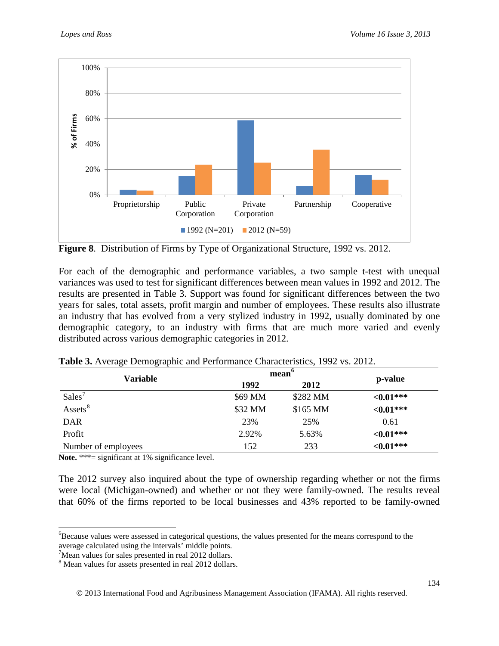

**Figure 8**. Distribution of Firms by Type of Organizational Structure, 1992 vs. 2012.

For each of the demographic and performance variables, a two sample t-test with unequal variances was used to test for significant differences between mean values in 1992 and 2012. The results are presented in Table 3. Support was found for significant differences between the two years for sales, total assets, profit margin and number of employees. These results also illustrate an industry that has evolved from a very stylized industry in 1992, usually dominated by one demographic category, to an industry with firms that are much more varied and evenly distributed across various demographic categories in 2012.

| ັ<br>ີ້             | mean <sup>6</sup> |          |              |  |
|---------------------|-------------------|----------|--------------|--|
| <b>Variable</b>     | 1992<br>2012      |          | p-value      |  |
| Sales <sup>7</sup>  | \$69 MM           | \$282 MM | ${<}0.01***$ |  |
| Assets <sup>8</sup> | \$32 MM           | \$165 MM | ${<}0.01***$ |  |
| <b>DAR</b>          | 23%               | 25%      | 0.61         |  |
| Profit              | 2.92%             | 5.63%    | ${<}0.01***$ |  |
| Number of employees | 152               | 233      | ${<}0.01***$ |  |

**Table 3.** Average Demographic and Performance Characteristics, 1992 vs. 2012.

Note. \*\*\*= significant at 1% significance level.

The 2012 survey also inquired about the type of ownership regarding whether or not the firms were local (Michigan-owned) and whether or not they were family-owned. The results reveal that 60% of the firms reported to be local businesses and 43% reported to be family-owned

<span id="page-11-0"></span><sup>&</sup>lt;sup>6</sup>Because values were assessed in categorical questions, the values presented for the means correspond to the average calculated using the intervals' middle points.

<span id="page-11-1"></span><sup>&</sup>lt;sup>7</sup>Mean values for sales presented in real 2012 dollars.

<span id="page-11-2"></span><sup>&</sup>lt;sup>8</sup> Mean values for assets presented in real 2012 dollars.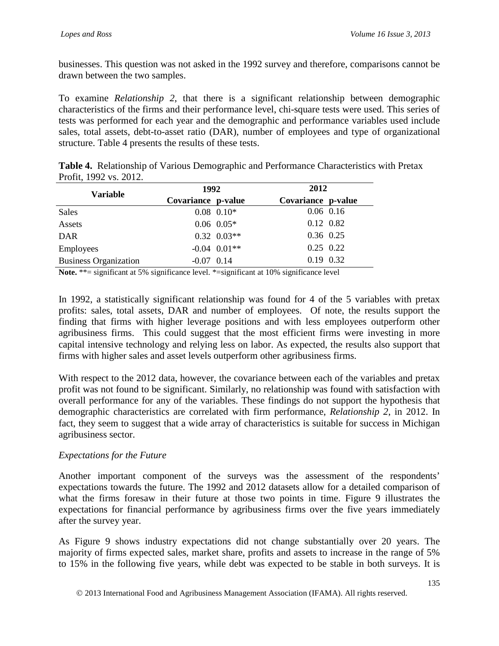businesses. This question was not asked in the 1992 survey and therefore, comparisons cannot be drawn between the two samples.

To examine *Relationship 2*, that there is a significant relationship between demographic characteristics of the firms and their performance level, chi-square tests were used. This series of tests was performed for each year and the demographic and performance variables used include sales, total assets, debt-to-asset ratio (DAR), number of employees and type of organizational structure. Table 4 presents the results of these tests.

| Table 4. Relationship of Various Demographic and Performance Characteristics with Pretax |  |  |
|------------------------------------------------------------------------------------------|--|--|
| Profit, 1992 vs. 2012.                                                                   |  |  |

| <b>Variable</b>              | 1992               |                          |                    | 2012 |  |  |
|------------------------------|--------------------|--------------------------|--------------------|------|--|--|
|                              | Covariance p-value |                          | Covariance p-value |      |  |  |
| Sales                        |                    | $0.08$ 0.10 <sup>*</sup> | $0.06$ 0.16        |      |  |  |
| Assets                       |                    | $0.06$ $0.05*$           | 0.12 0.82          |      |  |  |
| <b>DAR</b>                   |                    | $0.32$ $0.03**$          | 0.36 0.25          |      |  |  |
| Employees                    |                    | $-0.04$ $0.01**$         | $0.25$ 0.22        |      |  |  |
| <b>Business Organization</b> | $-0.07$ 0.14       |                          | 0.19 0.32          |      |  |  |

Note. \*\*= significant at 5% significance level. \*= significant at 10% significance level

In 1992, a statistically significant relationship was found for 4 of the 5 variables with pretax profits: sales, total assets, DAR and number of employees. Of note, the results support the finding that firms with higher leverage positions and with less employees outperform other agribusiness firms. This could suggest that the most efficient firms were investing in more capital intensive technology and relying less on labor. As expected, the results also support that firms with higher sales and asset levels outperform other agribusiness firms.

With respect to the 2012 data, however, the covariance between each of the variables and pretax profit was not found to be significant. Similarly, no relationship was found with satisfaction with overall performance for any of the variables. These findings do not support the hypothesis that demographic characteristics are correlated with firm performance, *Relationship 2*, in 2012. In fact, they seem to suggest that a wide array of characteristics is suitable for success in Michigan agribusiness sector.

## *Expectations for the Future*

Another important component of the surveys was the assessment of the respondents' expectations towards the future. The 1992 and 2012 datasets allow for a detailed comparison of what the firms foresaw in their future at those two points in time. Figure 9 illustrates the expectations for financial performance by agribusiness firms over the five years immediately after the survey year.

As Figure 9 shows industry expectations did not change substantially over 20 years. The majority of firms expected sales, market share, profits and assets to increase in the range of 5% to 15% in the following five years, while debt was expected to be stable in both surveys. It is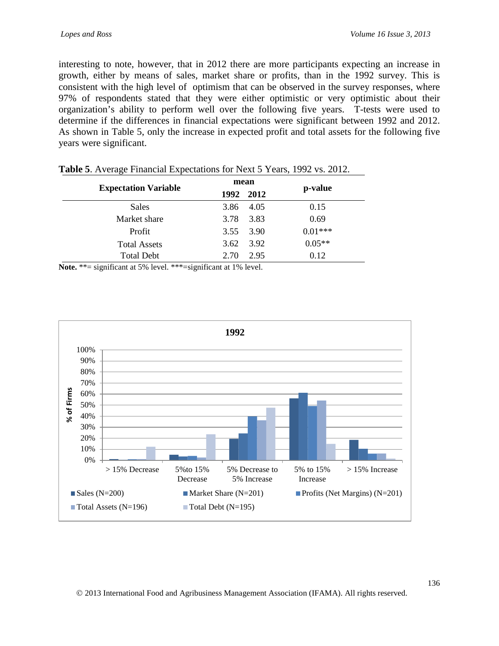interesting to note, however, that in 2012 there are more participants expecting an increase in growth, either by means of sales, market share or profits, than in the 1992 survey. This is consistent with the high level of optimism that can be observed in the survey responses, where 97% of respondents stated that they were either optimistic or very optimistic about their organization's ability to perform well over the following five years. T-tests were used to determine if the differences in financial expectations were significant between 1992 and 2012. As shown in Table 5, only the increase in expected profit and total assets for the following five years were significant.

|                             |      | mean      |           |
|-----------------------------|------|-----------|-----------|
| <b>Expectation Variable</b> |      | 1992 2012 | p-value   |
| Sales                       | 3.86 | 4.05      | 0.15      |
| Market share                | 3.78 | 3.83      | 0.69      |
| Profit                      | 3.55 | 3.90      | $0.01***$ |
| <b>Total Assets</b>         | 3.62 | 3.92      | $0.05**$  |
| <b>Total Debt</b>           | 2.70 | 2.95      | 0.12      |

| Table 5. Average Financial Expectations for Next 5 Years, 1992 vs. 2012. |  |  |
|--------------------------------------------------------------------------|--|--|
|--------------------------------------------------------------------------|--|--|

**Note.** \*\*= significant at 5% level. \*\*\*=significant at 1% level.

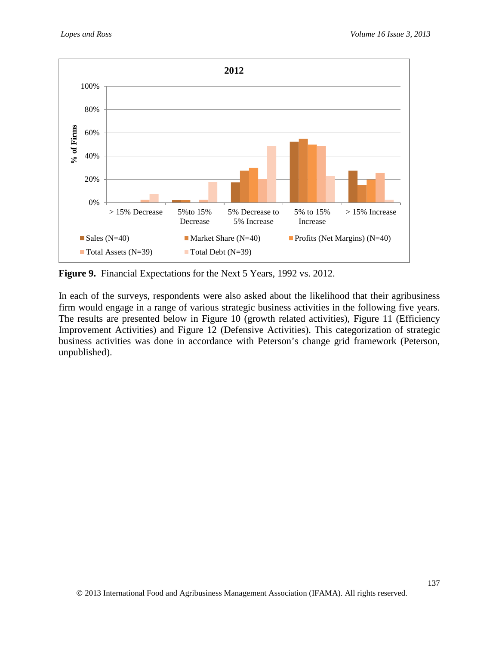

**Figure 9.** Financial Expectations for the Next 5 Years, 1992 vs. 2012.

In each of the surveys, respondents were also asked about the likelihood that their agribusiness firm would engage in a range of various strategic business activities in the following five years. The results are presented below in Figure 10 (growth related activities), Figure 11 (Efficiency Improvement Activities) and Figure 12 (Defensive Activities). This categorization of strategic business activities was done in accordance with Peterson's change grid framework (Peterson, unpublished).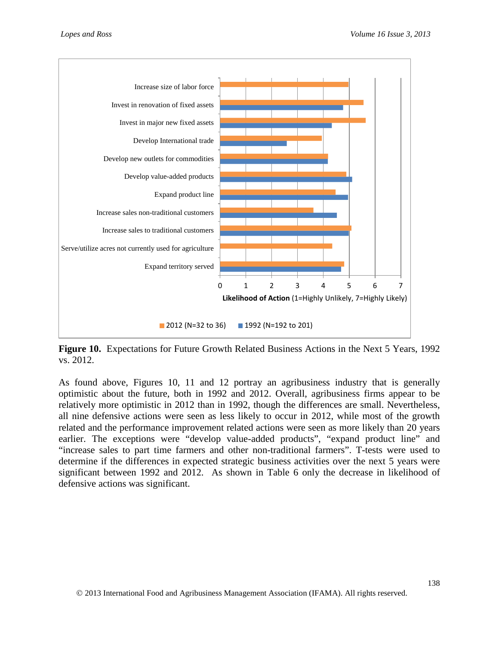

**Figure 10.** Expectations for Future Growth Related Business Actions in the Next 5 Years, 1992 vs. 2012.

As found above, Figures 10, 11 and 12 portray an agribusiness industry that is generally optimistic about the future, both in 1992 and 2012. Overall, agribusiness firms appear to be relatively more optimistic in 2012 than in 1992, though the differences are small. Nevertheless, all nine defensive actions were seen as less likely to occur in 2012, while most of the growth related and the performance improvement related actions were seen as more likely than 20 years earlier. The exceptions were "develop value-added products", "expand product line" and "increase sales to part time farmers and other non-traditional farmers". T-tests were used to determine if the differences in expected strategic business activities over the next 5 years were significant between 1992 and 2012. As shown in Table 6 only the decrease in likelihood of defensive actions was significant.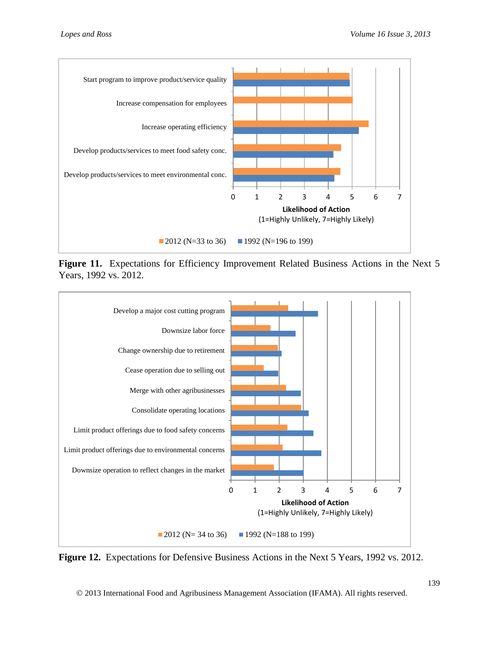

Figure 11. Expectations for Efficiency Improvement Related Business Actions in the Next 5 Years, 1992 vs. 2012.



**Figure 12.** Expectations for Defensive Business Actions in the Next 5 Years, 1992 vs. 2012.

2013 International Food and Agribusiness Management Association (IFAMA). All rights reserved.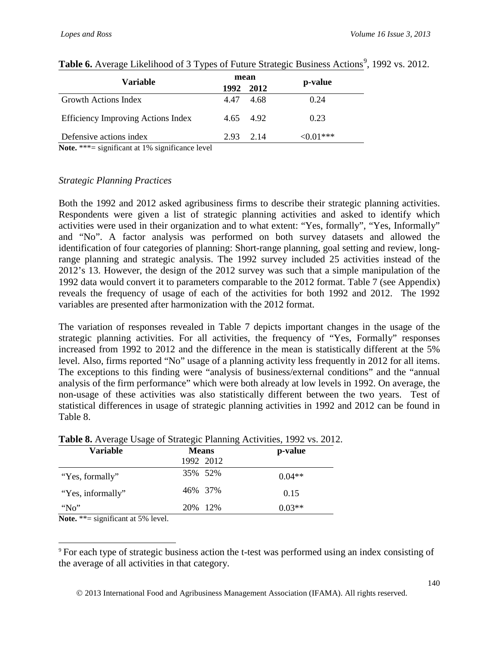| Variable                                                                                                                                |      | mean |             |
|-----------------------------------------------------------------------------------------------------------------------------------------|------|------|-------------|
|                                                                                                                                         |      | 2012 | p-value     |
| Growth Actions Index                                                                                                                    | 4.47 | 4.68 | 0.24        |
| <b>Efficiency Improving Actions Index</b>                                                                                               | 4.65 | 4.92 | 0.23        |
| Defensive actions index<br>$\mathbf{M}$ , and a set of the set of $\mathbf{M}$ , and $\mathbf{M}$ , and $\mathbf{M}$ , and $\mathbf{M}$ | 2.93 | 2.14 | $< 0.01***$ |

### Table 6. Average Likelihood of 3 Types of Future Strategic Business Actions<sup>[9](#page-17-0)</sup>, 1992 vs. 2012.

**Note.** \*\*\*= significant at 1% significance level

#### *Strategic Planning Practices*

Both the 1992 and 2012 asked agribusiness firms to describe their strategic planning activities. Respondents were given a list of strategic planning activities and asked to identify which activities were used in their organization and to what extent: "Yes, formally", "Yes, Informally" and "No". A factor analysis was performed on both survey datasets and allowed the identification of four categories of planning: Short-range planning, goal setting and review, longrange planning and strategic analysis. The 1992 survey included 25 activities instead of the 2012's 13. However, the design of the 2012 survey was such that a simple manipulation of the 1992 data would convert it to parameters comparable to the 2012 format. Table 7 (see Appendix) reveals the frequency of usage of each of the activities for both 1992 and 2012. The 1992 variables are presented after harmonization with the 2012 format.

The variation of responses revealed in Table 7 depicts important changes in the usage of the strategic planning activities. For all activities, the frequency of "Yes, Formally" responses increased from 1992 to 2012 and the difference in the mean is statistically different at the 5% level. Also, firms reported "No" usage of a planning activity less frequently in 2012 for all items. The exceptions to this finding were "analysis of business/external conditions" and the "annual analysis of the firm performance" which were both already at low levels in 1992. On average, the non-usage of these activities was also statistically different between the two years. Test of statistical differences in usage of strategic planning activities in 1992 and 2012 can be found in Table 8.

| <b>Variable</b>   | <b>Means</b> | p-value  |
|-------------------|--------------|----------|
|                   | 1992 2012    |          |
| "Yes, formally"   | 35% 52%      | $0.04**$ |
| "Yes, informally" | 46% 37%      | 0.15     |
| $N_0$             | 20\% 12\%    | $0.03**$ |

## **Table 8.** Average Usage of Strategic Planning Activities, 1992 vs. 2012.

Note. \*\*= significant at 5% level.

<span id="page-17-0"></span> 9 For each type of strategic business action the t-test was performed using an index consisting of the average of all activities in that category.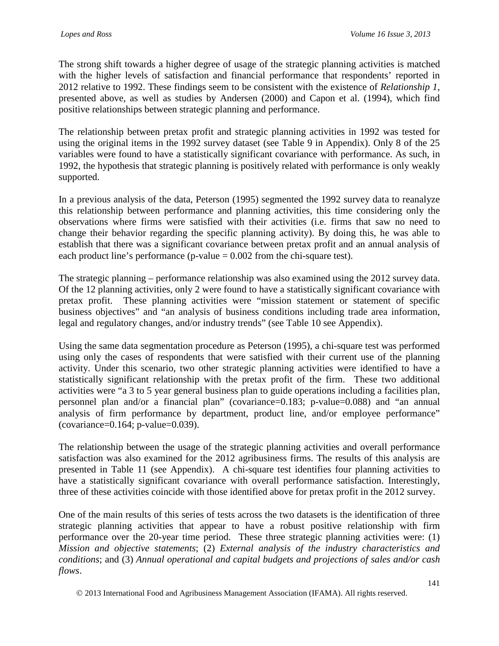The strong shift towards a higher degree of usage of the strategic planning activities is matched with the higher levels of satisfaction and financial performance that respondents' reported in 2012 relative to 1992. These findings seem to be consistent with the existence of *Relationship 1*, presented above, as well as studies by Andersen (2000) and Capon et al. (1994), which find positive relationships between strategic planning and performance.

The relationship between pretax profit and strategic planning activities in 1992 was tested for using the original items in the 1992 survey dataset (see Table 9 in Appendix). Only 8 of the 25 variables were found to have a statistically significant covariance with performance. As such, in 1992, the hypothesis that strategic planning is positively related with performance is only weakly supported.

In a previous analysis of the data, Peterson (1995) segmented the 1992 survey data to reanalyze this relationship between performance and planning activities, this time considering only the observations where firms were satisfied with their activities (i.e. firms that saw no need to change their behavior regarding the specific planning activity). By doing this, he was able to establish that there was a significant covariance between pretax profit and an annual analysis of each product line's performance (p-value  $= 0.002$  from the chi-square test).

The strategic planning – performance relationship was also examined using the 2012 survey data. Of the 12 planning activities, only 2 were found to have a statistically significant covariance with pretax profit. These planning activities were "mission statement or statement of specific business objectives" and "an analysis of business conditions including trade area information, legal and regulatory changes, and/or industry trends" (see Table 10 see Appendix).

Using the same data segmentation procedure as Peterson (1995), a chi-square test was performed using only the cases of respondents that were satisfied with their current use of the planning activity. Under this scenario, two other strategic planning activities were identified to have a statistically significant relationship with the pretax profit of the firm. These two additional activities were "a 3 to 5 year general business plan to guide operations including a facilities plan, personnel plan and/or a financial plan" (covariance=0.183; p-value=0.088) and "an annual analysis of firm performance by department, product line, and/or employee performance" (covariance=0.164; p-value=0.039).

The relationship between the usage of the strategic planning activities and overall performance satisfaction was also examined for the 2012 agribusiness firms. The results of this analysis are presented in Table 11 (see Appendix). A chi-square test identifies four planning activities to have a statistically significant covariance with overall performance satisfaction. Interestingly, three of these activities coincide with those identified above for pretax profit in the 2012 survey.

One of the main results of this series of tests across the two datasets is the identification of three strategic planning activities that appear to have a robust positive relationship with firm performance over the 20-year time period. These three strategic planning activities were: (1) *Mission and objective statements*; (2) *External analysis of the industry characteristics and conditions*; and (3) *Annual operational and capital budgets and projections of sales and/or cash flows*.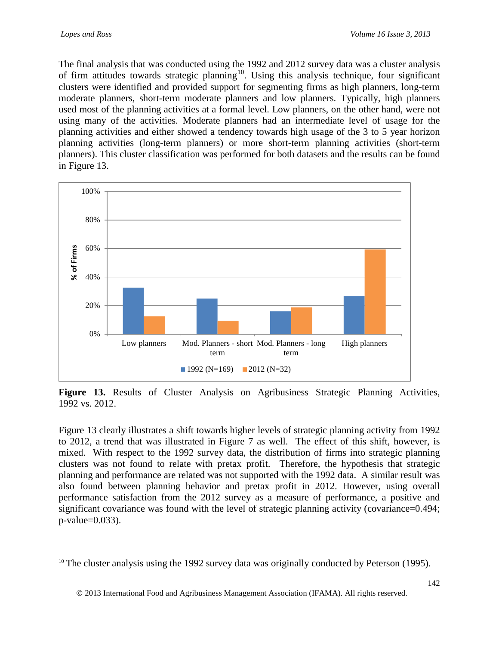The final analysis that was conducted using the 1992 and 2012 survey data was a cluster analysis of firm attitudes towards strategic planning<sup>10</sup>. Using this analysis technique, four significant clusters were identified and provided support for segmenting firms as high planners, long-term moderate planners, short-term moderate planners and low planners. Typically, high planners used most of the planning activities at a formal level. Low planners, on the other hand, were not using many of the activities. Moderate planners had an intermediate level of usage for the planning activities and either showed a tendency towards high usage of the 3 to 5 year horizon planning activities (long-term planners) or more short-term planning activities (short-term planners). This cluster classification was performed for both datasets and the results can be found in Figure 13.



Figure 13. Results of Cluster Analysis on Agribusiness Strategic Planning Activities, 1992 vs. 2012.

Figure 13 clearly illustrates a shift towards higher levels of strategic planning activity from 1992 to 2012, a trend that was illustrated in Figure 7 as well. The effect of this shift, however, is mixed. With respect to the 1992 survey data, the distribution of firms into strategic planning clusters was not found to relate with pretax profit. Therefore, the hypothesis that strategic planning and performance are related was not supported with the 1992 data. A similar result was also found between planning behavior and pretax profit in 2012. However, using overall performance satisfaction from the 2012 survey as a measure of performance, a positive and significant covariance was found with the level of strategic planning activity (covariance=0.494; p-value=0.033).

<span id="page-19-0"></span> $10$  The cluster analysis using the 1992 survey data was originally conducted by Peterson (1995).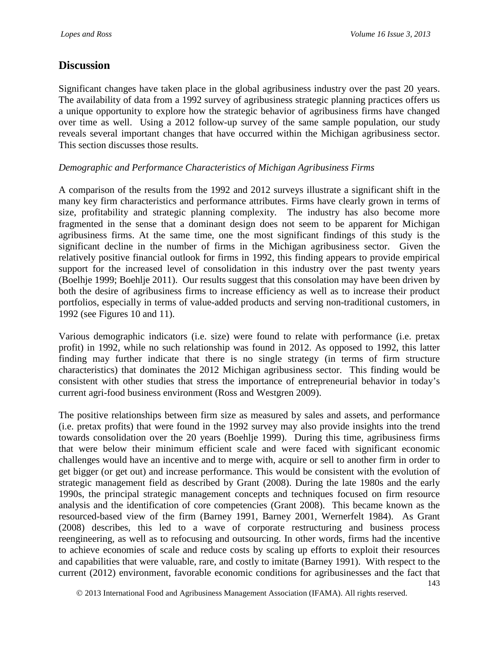## **Discussion**

Significant changes have taken place in the global agribusiness industry over the past 20 years. The availability of data from a 1992 survey of agribusiness strategic planning practices offers us a unique opportunity to explore how the strategic behavior of agribusiness firms have changed over time as well. Using a 2012 follow-up survey of the same sample population, our study reveals several important changes that have occurred within the Michigan agribusiness sector. This section discusses those results.

#### *Demographic and Performance Characteristics of Michigan Agribusiness Firms*

A comparison of the results from the 1992 and 2012 surveys illustrate a significant shift in the many key firm characteristics and performance attributes. Firms have clearly grown in terms of size, profitability and strategic planning complexity. The industry has also become more fragmented in the sense that a dominant design does not seem to be apparent for Michigan agribusiness firms. At the same time, one the most significant findings of this study is the significant decline in the number of firms in the Michigan agribusiness sector. Given the relatively positive financial outlook for firms in 1992, this finding appears to provide empirical support for the increased level of consolidation in this industry over the past twenty years (Boelhje 1999; Boehlje 2011). Our results suggest that this consolation may have been driven by both the desire of agribusiness firms to increase efficiency as well as to increase their product portfolios, especially in terms of value-added products and serving non-traditional customers, in 1992 (see Figures 10 and 11).

Various demographic indicators (i.e. size) were found to relate with performance (i.e. pretax profit) in 1992, while no such relationship was found in 2012. As opposed to 1992, this latter finding may further indicate that there is no single strategy (in terms of firm structure characteristics) that dominates the 2012 Michigan agribusiness sector. This finding would be consistent with other studies that stress the importance of entrepreneurial behavior in today's current agri-food business environment (Ross and Westgren 2009).

The positive relationships between firm size as measured by sales and assets, and performance (i.e. pretax profits) that were found in the 1992 survey may also provide insights into the trend towards consolidation over the 20 years (Boehlje 1999). During this time, agribusiness firms that were below their minimum efficient scale and were faced with significant economic challenges would have an incentive and to merge with, acquire or sell to another firm in order to get bigger (or get out) and increase performance. This would be consistent with the evolution of strategic management field as described by Grant (2008). During the late 1980s and the early 1990s, the principal strategic management concepts and techniques focused on firm resource analysis and the identification of core competencies (Grant 2008). This became known as the resourced-based view of the firm (Barney 1991, Barney 2001, Wernerfelt 1984). As Grant (2008) describes, this led to a wave of corporate restructuring and business process reengineering, as well as to refocusing and outsourcing. In other words, firms had the incentive to achieve economies of scale and reduce costs by scaling up efforts to exploit their resources and capabilities that were valuable, rare, and costly to imitate (Barney 1991). With respect to the current (2012) environment, favorable economic conditions for agribusinesses and the fact that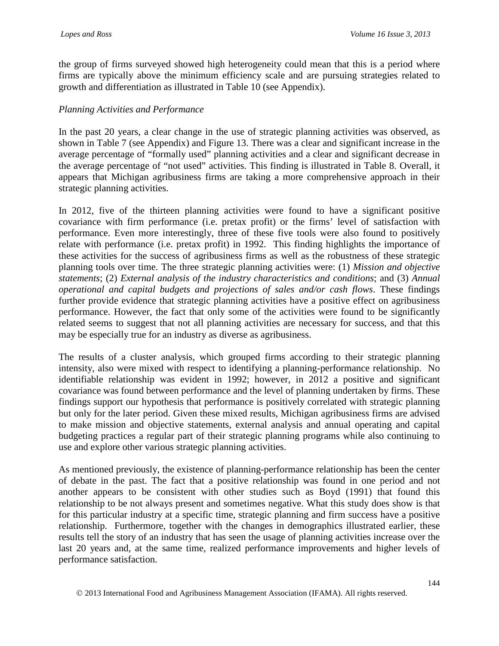the group of firms surveyed showed high heterogeneity could mean that this is a period where firms are typically above the minimum efficiency scale and are pursuing strategies related to growth and differentiation as illustrated in Table 10 (see Appendix).

#### *Planning Activities and Performance*

In the past 20 years, a clear change in the use of strategic planning activities was observed, as shown in Table 7 (see Appendix) and Figure 13. There was a clear and significant increase in the average percentage of "formally used" planning activities and a clear and significant decrease in the average percentage of "not used" activities. This finding is illustrated in Table 8. Overall, it appears that Michigan agribusiness firms are taking a more comprehensive approach in their strategic planning activities.

In 2012, five of the thirteen planning activities were found to have a significant positive covariance with firm performance (i.e. pretax profit) or the firms' level of satisfaction with performance. Even more interestingly, three of these five tools were also found to positively relate with performance (i.e. pretax profit) in 1992. This finding highlights the importance of these activities for the success of agribusiness firms as well as the robustness of these strategic planning tools over time. The three strategic planning activities were: (1) *Mission and objective statements*; (2) *External analysis of the industry characteristics and conditions*; and (3) *Annual operational and capital budgets and projections of sales and/or cash flows*. These findings further provide evidence that strategic planning activities have a positive effect on agribusiness performance. However, the fact that only some of the activities were found to be significantly related seems to suggest that not all planning activities are necessary for success, and that this may be especially true for an industry as diverse as agribusiness.

The results of a cluster analysis, which grouped firms according to their strategic planning intensity, also were mixed with respect to identifying a planning-performance relationship. No identifiable relationship was evident in 1992; however, in 2012 a positive and significant covariance was found between performance and the level of planning undertaken by firms. These findings support our hypothesis that performance is positively correlated with strategic planning but only for the later period. Given these mixed results, Michigan agribusiness firms are advised to make mission and objective statements, external analysis and annual operating and capital budgeting practices a regular part of their strategic planning programs while also continuing to use and explore other various strategic planning activities.

As mentioned previously, the existence of planning-performance relationship has been the center of debate in the past. The fact that a positive relationship was found in one period and not another appears to be consistent with other studies such as Boyd (1991) that found this relationship to be not always present and sometimes negative. What this study does show is that for this particular industry at a specific time, strategic planning and firm success have a positive relationship. Furthermore, together with the changes in demographics illustrated earlier, these results tell the story of an industry that has seen the usage of planning activities increase over the last 20 years and, at the same time, realized performance improvements and higher levels of performance satisfaction.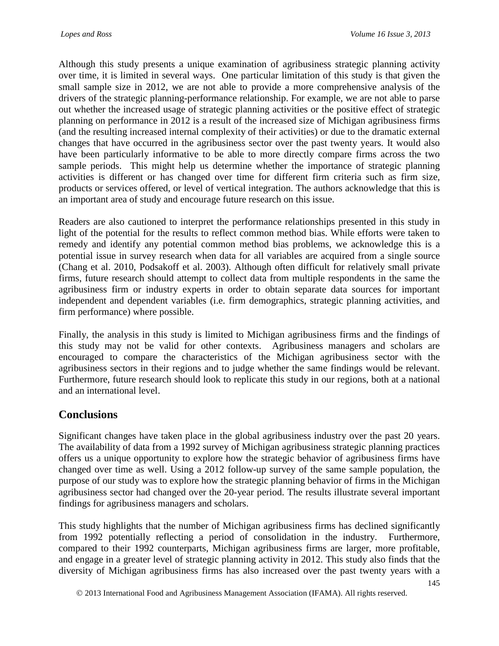Although this study presents a unique examination of agribusiness strategic planning activity over time, it is limited in several ways. One particular limitation of this study is that given the small sample size in 2012, we are not able to provide a more comprehensive analysis of the drivers of the strategic planning-performance relationship. For example, we are not able to parse out whether the increased usage of strategic planning activities or the positive effect of strategic planning on performance in 2012 is a result of the increased size of Michigan agribusiness firms (and the resulting increased internal complexity of their activities) or due to the dramatic external changes that have occurred in the agribusiness sector over the past twenty years. It would also have been particularly informative to be able to more directly compare firms across the two sample periods. This might help us determine whether the importance of strategic planning activities is different or has changed over time for different firm criteria such as firm size, products or services offered, or level of vertical integration. The authors acknowledge that this is an important area of study and encourage future research on this issue.

Readers are also cautioned to interpret the performance relationships presented in this study in light of the potential for the results to reflect common method bias. While efforts were taken to remedy and identify any potential common method bias problems, we acknowledge this is a potential issue in survey research when data for all variables are acquired from a single source (Chang et al. 2010, Podsakoff et al. 2003). Although often difficult for relatively small private firms, future research should attempt to collect data from multiple respondents in the same the agribusiness firm or industry experts in order to obtain separate data sources for important independent and dependent variables (i.e. firm demographics, strategic planning activities, and firm performance) where possible.

Finally, the analysis in this study is limited to Michigan agribusiness firms and the findings of this study may not be valid for other contexts. Agribusiness managers and scholars are encouraged to compare the characteristics of the Michigan agribusiness sector with the agribusiness sectors in their regions and to judge whether the same findings would be relevant. Furthermore, future research should look to replicate this study in our regions, both at a national and an international level.

# **Conclusions**

Significant changes have taken place in the global agribusiness industry over the past 20 years. The availability of data from a 1992 survey of Michigan agribusiness strategic planning practices offers us a unique opportunity to explore how the strategic behavior of agribusiness firms have changed over time as well. Using a 2012 follow-up survey of the same sample population, the purpose of our study was to explore how the strategic planning behavior of firms in the Michigan agribusiness sector had changed over the 20-year period. The results illustrate several important findings for agribusiness managers and scholars.

This study highlights that the number of Michigan agribusiness firms has declined significantly from 1992 potentially reflecting a period of consolidation in the industry. Furthermore, compared to their 1992 counterparts, Michigan agribusiness firms are larger, more profitable, and engage in a greater level of strategic planning activity in 2012. This study also finds that the diversity of Michigan agribusiness firms has also increased over the past twenty years with a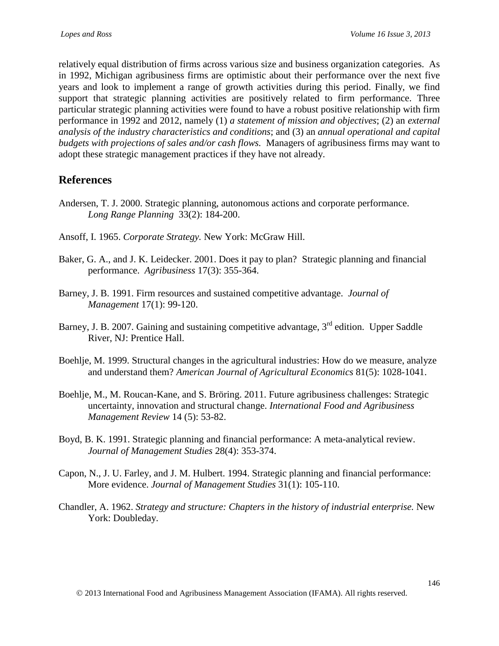relatively equal distribution of firms across various size and business organization categories. As in 1992, Michigan agribusiness firms are optimistic about their performance over the next five years and look to implement a range of growth activities during this period. Finally, we find support that strategic planning activities are positively related to firm performance. Three particular strategic planning activities were found to have a robust positive relationship with firm performance in 1992 and 2012, namely (1) *a statement of mission and objectives*; (2) an *external analysis of the industry characteristics and conditions*; and (3) an *annual operational and capital budgets with projections of sales and/or cash flows.* Managers of agribusiness firms may want to adopt these strategic management practices if they have not already.

## **References**

- Andersen, T. J. 2000. Strategic planning, autonomous actions and corporate performance. *Long Range Planning* 33(2): 184-200.
- Ansoff, I. 1965. *Corporate Strategy.* New York: McGraw Hill.
- Baker, G. A., and J. K. Leidecker. 2001. Does it pay to plan? Strategic planning and financial performance. *Agribusiness* 17(3): 355-364.
- Barney, J. B. 1991. Firm resources and sustained competitive advantage. *Journal of Management* 17(1): 99-120.
- Barney, J. B. 2007. Gaining and sustaining competitive advantage, 3<sup>rd</sup> edition. Upper Saddle River, NJ: Prentice Hall.
- Boehlje, M. 1999. Structural changes in the agricultural industries: How do we measure, analyze and understand them? *American Journal of Agricultural Economics* 81(5): 1028-1041.
- Boehlje, M., M. Roucan-Kane, and S. Bröring. 2011. Future agribusiness challenges: Strategic uncertainty, innovation and structural change. *International Food and Agribusiness Management Review* 14 (5): 53-82.
- Boyd, B. K. 1991. Strategic planning and financial performance: A meta-analytical review. *Journal of Management Studies* 28(4): 353-374.
- Capon, N., J. U. Farley, and J. M. Hulbert. 1994. Strategic planning and financial performance: More evidence. *Journal of Management Studies* 31(1): 105-110.
- Chandler, A. 1962. *Strategy and structure: Chapters in the history of industrial enterprise.* New York: Doubleday.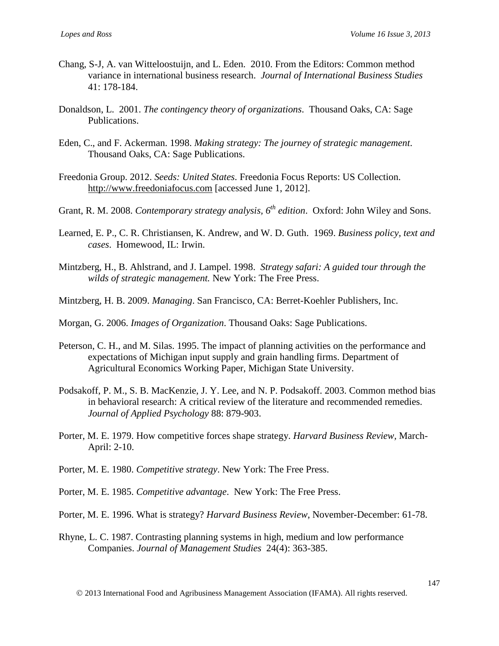- Chang, S-J, A. van Witteloostuijn, and L. Eden. 2010. From the Editors: Common method variance in international business research. *Journal of International Business Studies* 41: 178-184.
- Donaldson, L. 2001. *The contingency theory of organizations*. Thousand Oaks, CA: Sage Publications.
- Eden, C., and F. Ackerman. 1998. *Making strategy: The journey of strategic management*. Thousand Oaks, CA: Sage Publications.
- Freedonia Group. 2012. *Seeds: United States*. Freedonia Focus Reports: US Collection. [http://www.freedoniafocus.com](http://www.freedoniafocus.com/) [accessed June 1, 2012].
- Grant, R. M. 2008. *Contemporary strategy analysis, 6th edition*. Oxford: John Wiley and Sons.
- Learned, E. P., C. R. Christiansen, K. Andrew, and W. D. Guth. 1969. *Business policy, text and cases*. Homewood, IL: Irwin.
- Mintzberg, H., B. Ahlstrand, and J. Lampel. 1998. *Strategy safari: A guided tour through the wilds of strategic management.* New York: The Free Press.
- Mintzberg, H. B. 2009. *Managing*. San Francisco, CA: Berret-Koehler Publishers, Inc.
- Morgan, G. 2006. *Images of Organization*. Thousand Oaks: Sage Publications.
- Peterson, C. H., and M. Silas. 1995. The impact of planning activities on the performance and expectations of Michigan input supply and grain handling firms. Department of Agricultural Economics Working Paper, Michigan State University.
- Podsakoff, P. M., S. B. MacKenzie, J. Y. Lee, and N. P. Podsakoff. 2003. Common method bias in behavioral research: A critical review of the literature and recommended remedies. *Journal of Applied Psychology* 88: 879-903.
- Porter, M. E. 1979. How competitive forces shape strategy. *Harvard Business Review,* March-April: 2-10.
- Porter, M. E. 1980. *Competitive strategy*. New York: The Free Press.
- Porter, M. E. 1985. *Competitive advantage*. New York: The Free Press.
- Porter, M. E. 1996. What is strategy? *Harvard Business Review*, November-December: 61-78.
- Rhyne, L. C. 1987. Contrasting planning systems in high, medium and low performance Companies. *Journal of Management Studies* 24(4): 363-385.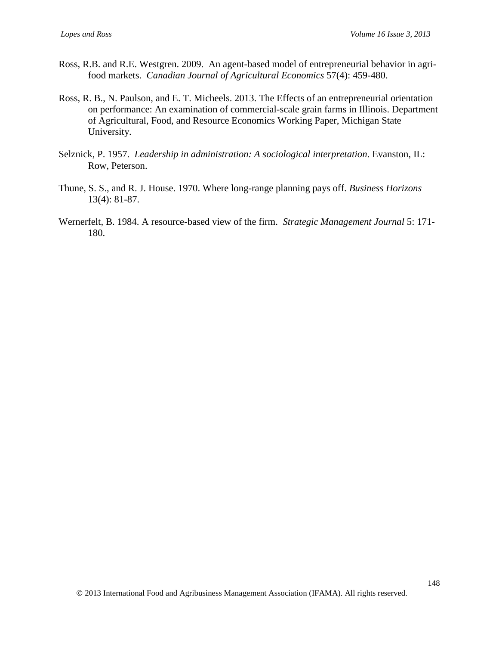- Ross, R.B. and R.E. Westgren. 2009. An agent-based model of entrepreneurial behavior in agrifood markets. *Canadian Journal of Agricultural Economics* 57(4): 459-480.
- Ross, R. B., N. Paulson, and E. T. Micheels. 2013. The Effects of an entrepreneurial orientation on performance: An examination of commercial-scale grain farms in Illinois. Department of Agricultural, Food, and Resource Economics Working Paper, Michigan State University.
- Selznick, P. 1957. *Leadership in administration: A sociological interpretation*. Evanston, IL: Row, Peterson.
- Thune, S. S., and R. J. House. 1970. Where long-range planning pays off. *Business Horizons* 13(4): 81-87.
- Wernerfelt, B. 1984. A resource-based view of the firm. *Strategic Management Journal* 5: 171- 180.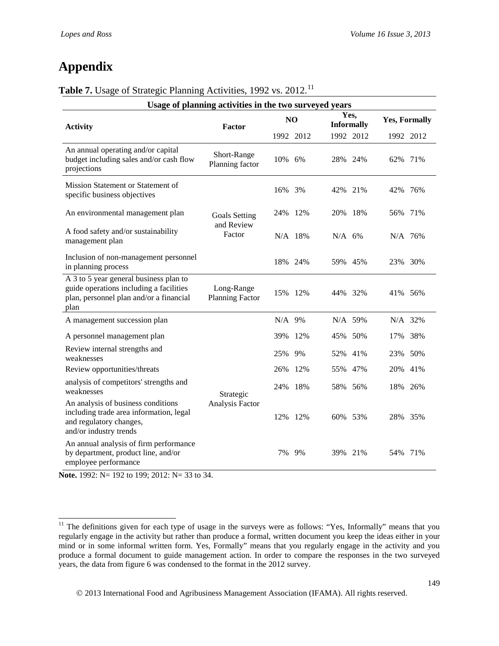# **Appendix**

## **Table 7.** Usage of Strategic Planning Activities, 1992 vs. 2012.<sup>[11](#page-26-0)</sup>

| Usage of planning activities in the two surveyed years                                                                               |                                      |          |                |          |                           |                      |           |
|--------------------------------------------------------------------------------------------------------------------------------------|--------------------------------------|----------|----------------|----------|---------------------------|----------------------|-----------|
| <b>Activity</b>                                                                                                                      | Factor                               |          | N <sub>O</sub> |          | Yes,<br><b>Informally</b> | <b>Yes, Formally</b> |           |
|                                                                                                                                      |                                      |          | 1992 2012      |          | 1992 2012                 |                      | 1992 2012 |
| An annual operating and/or capital<br>budget including sales and/or cash flow<br>projections                                         | Short-Range<br>Planning factor       | 10% 6%   |                | 28% 24%  |                           | 62%                  | 71%       |
| Mission Statement or Statement of<br>specific business objectives                                                                    |                                      | 16%      | 3%             | 42%      | 21%                       | 42%                  | 76%       |
| An environmental management plan                                                                                                     | <b>Goals Setting</b>                 |          | 24% 12%        | 20% 18%  |                           | 56%                  | 71%       |
| A food safety and/or sustainability<br>management plan                                                                               | and Review<br>Factor                 |          | $N/A$ 18%      | $N/A$ 6% |                           | N/A 76%              |           |
| Inclusion of non-management personnel<br>in planning process                                                                         |                                      |          | 18% 24%        | 59% 45%  |                           | 23% 30%              |           |
| A 3 to 5 year general business plan to<br>guide operations including a facilities<br>plan, personnel plan and/or a financial<br>plan | Long-Range<br><b>Planning Factor</b> |          | 15% 12%        | 44% 32%  |                           | 41% 56%              |           |
| A management succession plan                                                                                                         |                                      | $N/A$ 9% |                |          | N/A 59%                   | $N/A$ 32%            |           |
| A personnel management plan                                                                                                          |                                      | 39%      | 12%            | 45% 50%  |                           | 17%                  | 38%       |
| Review internal strengths and<br>weaknesses                                                                                          |                                      | 25%      | 9%             | 52%      | 41%                       | 23%                  | 50%       |
| Review opportunities/threats                                                                                                         |                                      | 26%      | 12%            | 55%      | 47%                       | 20%                  | 41%       |
| analysis of competitors' strengths and<br>weaknesses                                                                                 | Strategic                            | 24%      | 18%            | 58% 56%  |                           | 18%                  | 26%       |
| An analysis of business conditions<br>including trade area information, legal<br>and regulatory changes,<br>and/or industry trends   | Analysis Factor                      | 12%      | 12%            | 60% 53%  |                           | 28%                  | 35%       |
| An annual analysis of firm performance<br>by department, product line, and/or<br>employee performance                                |                                      | 7%       | 9%             | 39%      | 21%                       | 54%                  | 71%       |

**Note.** 1992: N= 192 to 199; 2012: N= 33 to 34.

<span id="page-26-0"></span><sup>&</sup>lt;sup>11</sup> The definitions given for each type of usage in the surveys were as follows: "Yes, Informally" means that you regularly engage in the activity but rather than produce a formal, written document you keep the ideas either in your mind or in some informal written form. Yes, Formally" means that you regularly engage in the activity and you produce a formal document to guide management action. In order to compare the responses in the two surveyed years, the data from figure 6 was condensed to the format in the 2012 survey.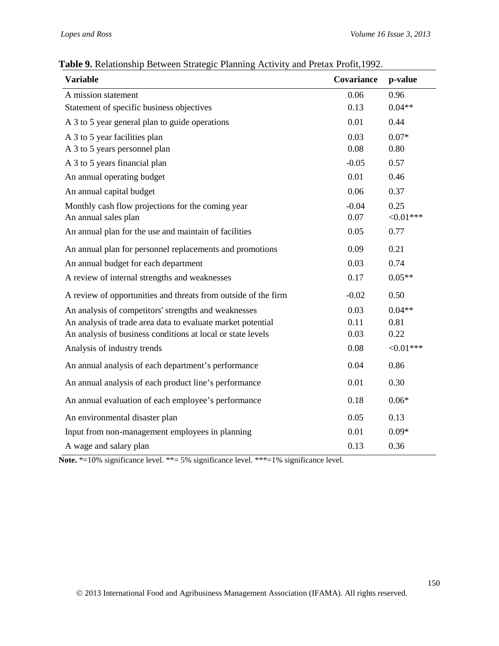| <b>Variable</b>                                                | <b>Covariance</b> | p-value      |
|----------------------------------------------------------------|-------------------|--------------|
| A mission statement                                            | 0.06              | 0.96         |
| Statement of specific business objectives                      | 0.13              | $0.04**$     |
| A 3 to 5 year general plan to guide operations                 | 0.01              | 0.44         |
| A 3 to 5 year facilities plan                                  | 0.03              | $0.07*$      |
| A 3 to 5 years personnel plan                                  | 0.08              | 0.80         |
| A 3 to 5 years financial plan                                  | $-0.05$           | 0.57         |
| An annual operating budget                                     | 0.01              | 0.46         |
| An annual capital budget                                       | 0.06              | 0.37         |
| Monthly cash flow projections for the coming year              | $-0.04$           | 0.25         |
| An annual sales plan                                           | 0.07              | ${<}0.01***$ |
| An annual plan for the use and maintain of facilities          | 0.05              | 0.77         |
| An annual plan for personnel replacements and promotions       | 0.09              | 0.21         |
| An annual budget for each department                           | 0.03              | 0.74         |
| A review of internal strengths and weaknesses                  | 0.17              | $0.05**$     |
| A review of opportunities and threats from outside of the firm | $-0.02$           | 0.50         |
| An analysis of competitors' strengths and weaknesses           | 0.03              | $0.04**$     |
| An analysis of trade area data to evaluate market potential    | 0.11              | 0.81         |
| An analysis of business conditions at local or state levels    | 0.03              | 0.22         |
| Analysis of industry trends                                    | 0.08              | ${<}0.01***$ |
| An annual analysis of each department's performance            | 0.04              | 0.86         |
| An annual analysis of each product line's performance          | 0.01              | 0.30         |
| An annual evaluation of each employee's performance            | 0.18              | $0.06*$      |
| An environmental disaster plan                                 | 0.05              | 0.13         |
| Input from non-management employees in planning                | 0.01              | $0.09*$      |
| A wage and salary plan                                         | 0.13              | 0.36         |

**Table 9.** Relationship Between Strategic Planning Activity and Pretax Profit,1992.

Note. \*=10% significance level. \*\*= 5% significance level. \*\*\*=1% significance level.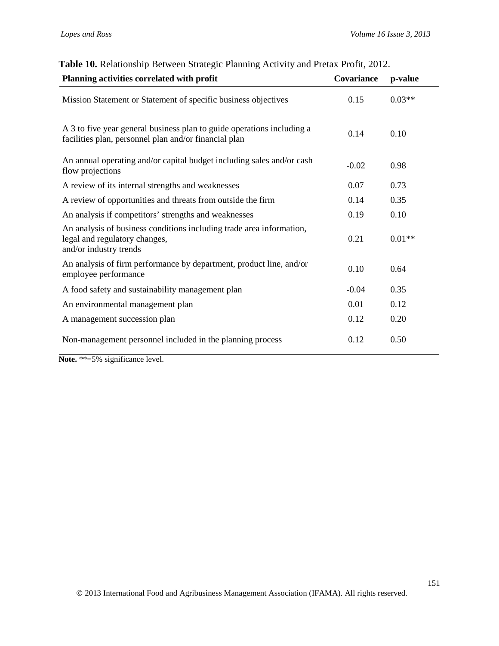| Planning activities correlated with profit                                                                                      | Covariance | p-value  |
|---------------------------------------------------------------------------------------------------------------------------------|------------|----------|
| Mission Statement or Statement of specific business objectives                                                                  | 0.15       | $0.03**$ |
| A 3 to five year general business plan to guide operations including a<br>facilities plan, personnel plan and/or financial plan | 0.14       | 0.10     |
| An annual operating and/or capital budget including sales and/or cash<br>flow projections                                       | $-0.02$    | 0.98     |
| A review of its internal strengths and weaknesses                                                                               | 0.07       | 0.73     |
| A review of opportunities and threats from outside the firm                                                                     | 0.14       | 0.35     |
| An analysis if competitors' strengths and weaknesses                                                                            | 0.19       | 0.10     |
| An analysis of business conditions including trade area information,<br>legal and regulatory changes,<br>and/or industry trends | 0.21       | $0.01**$ |
| An analysis of firm performance by department, product line, and/or<br>employee performance                                     | 0.10       | 0.64     |
| A food safety and sustainability management plan                                                                                | $-0.04$    | 0.35     |
| An environmental management plan                                                                                                | 0.01       | 0.12     |
| A management succession plan                                                                                                    | 0.12       | 0.20     |
| Non-management personnel included in the planning process                                                                       | 0.12       | 0.50     |

| Table 10. Relationship Between Strategic Planning Activity and Pretax Profit, 2012. |  |  |  |  |  |
|-------------------------------------------------------------------------------------|--|--|--|--|--|
|-------------------------------------------------------------------------------------|--|--|--|--|--|

**Note.** \*\*=5% significance level.